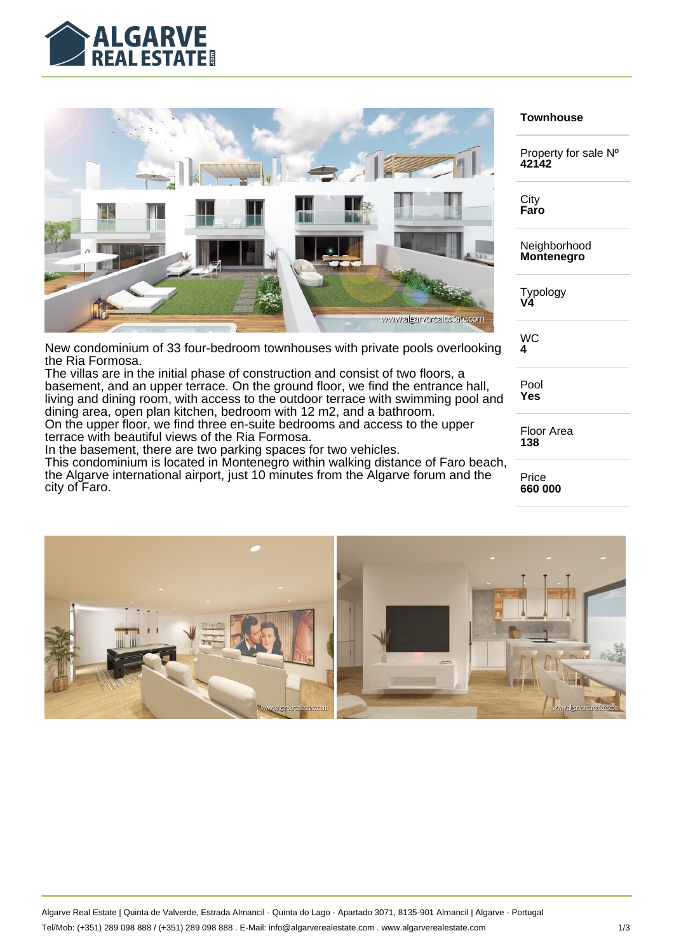



New condominium of 33 four-bedroom townhouses with private pools overlooking the Ria Formosa.

The villas are in the initial phase of construction and consist of two floors, a basement, and an upper terrace. On the ground floor, we find the entrance hall, living and dining room, with access to the outdoor terrace with swimming pool and dining area, open plan kitchen, bedroom with 12 m2, and a bathroom. On the upper floor, we find three en-suite bedrooms and access to the upper

terrace with beautiful views of the Ria Formosa.

In the basement, there are two parking spaces for two vehicles.

This condominium is located in Montenegro within walking distance of Faro beach, the Algarve international airport, just 10 minutes from the Algarve forum and the city of Faro.

## **Townhouse**

 Property for sale Nº  **42142**

**City Faro**

 Neighborhood  **Montenegro**

 Typology  **V4**

**WC 4**

 Pool  **Yes**

 Floor Area  **138**

 Price  **660 000**

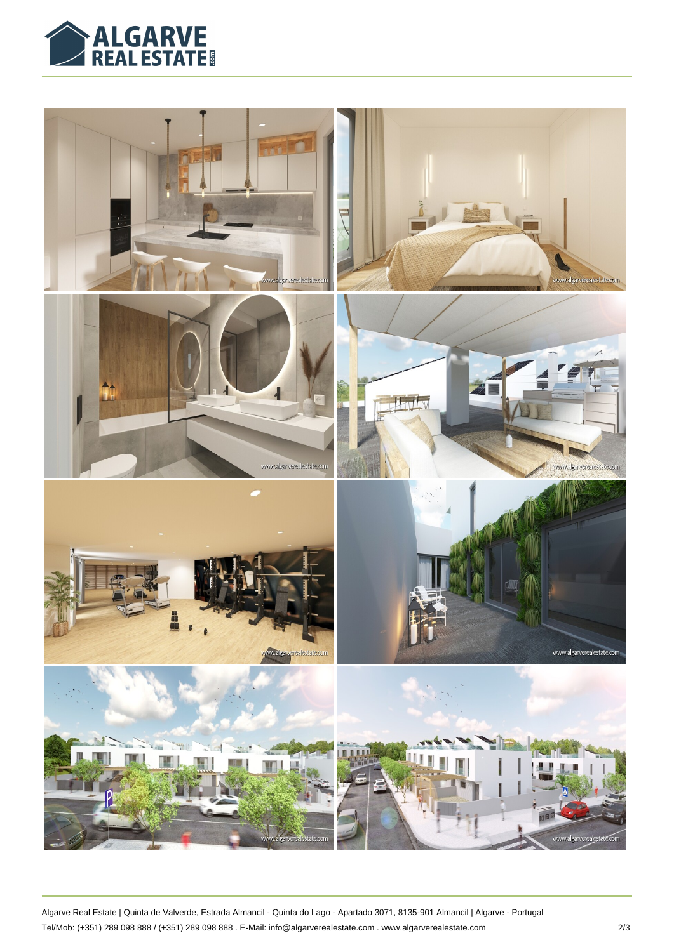



Algarve Real Estate | Quinta de Valverde, Estrada Almancil - Quinta do Lago - Apartado 3071, 8135-901 Almancil | Algarve - Portugal Tel/Mob: (+351) 289 098 888 / (+351) 289 098 888 . E-Mail: info@algarverealestate.com . www.algarverealestate.com 2/3